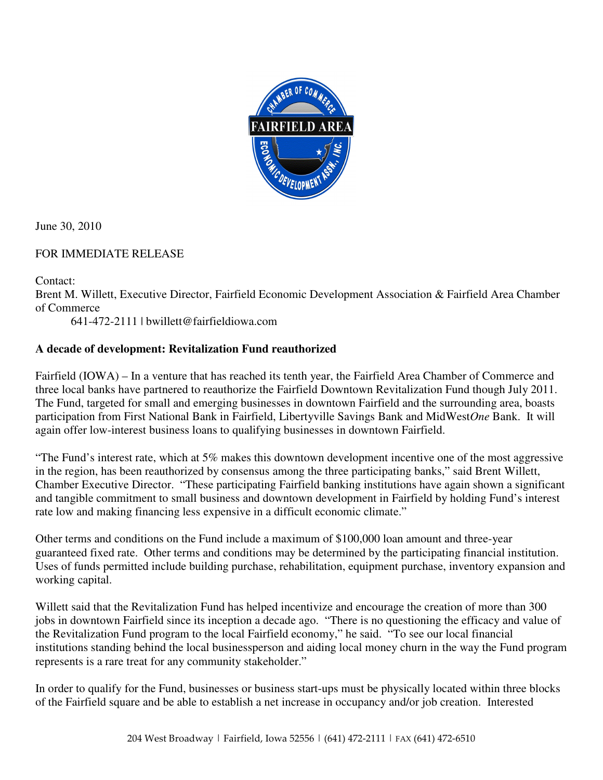

June 30, 2010

## FOR IMMEDIATE RELEASE

Contact:

Brent M. Willett, Executive Director, Fairfield Economic Development Association & Fairfield Area Chamber of Commerce

641-472-2111 | bwillett@fairfieldiowa.com

## **A decade of development: Revitalization Fund reauthorized**

Fairfield (IOWA) – In a venture that has reached its tenth year, the Fairfield Area Chamber of Commerce and three local banks have partnered to reauthorize the Fairfield Downtown Revitalization Fund though July 2011. The Fund, targeted for small and emerging businesses in downtown Fairfield and the surrounding area, boasts participation from First National Bank in Fairfield, Libertyville Savings Bank and MidWest*One* Bank. It will again offer low-interest business loans to qualifying businesses in downtown Fairfield.

"The Fund's interest rate, which at 5% makes this downtown development incentive one of the most aggressive in the region, has been reauthorized by consensus among the three participating banks," said Brent Willett, Chamber Executive Director. "These participating Fairfield banking institutions have again shown a significant and tangible commitment to small business and downtown development in Fairfield by holding Fund's interest rate low and making financing less expensive in a difficult economic climate."

Other terms and conditions on the Fund include a maximum of \$100,000 loan amount and three-year guaranteed fixed rate. Other terms and conditions may be determined by the participating financial institution. Uses of funds permitted include building purchase, rehabilitation, equipment purchase, inventory expansion and working capital.

Willett said that the Revitalization Fund has helped incentivize and encourage the creation of more than 300 jobs in downtown Fairfield since its inception a decade ago. "There is no questioning the efficacy and value of the Revitalization Fund program to the local Fairfield economy," he said. "To see our local financial institutions standing behind the local businessperson and aiding local money churn in the way the Fund program represents is a rare treat for any community stakeholder."

In order to qualify for the Fund, businesses or business start-ups must be physically located within three blocks of the Fairfield square and be able to establish a net increase in occupancy and/or job creation. Interested